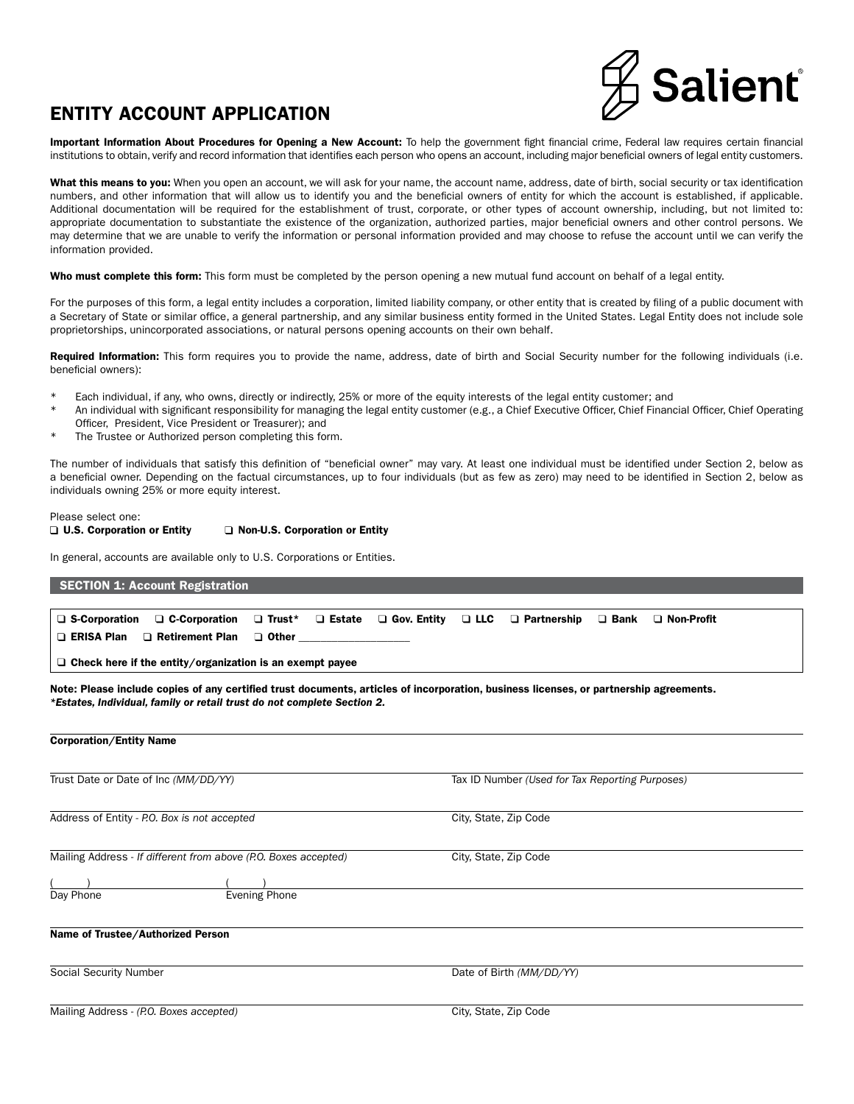# ENTITY ACCOUNT APPLICATION



Important Information About Procedures for Opening a New Account: To help the government fight financial crime, Federal law requires certain financial institutions to obtain, verify and record information that identifies each person who opens an account, including major beneficial owners of legal entity customers.

What this means to you: When you open an account, we will ask for your name, the account name, address, date of birth, social security or tax identification numbers, and other information that will allow us to identify you and the beneficial owners of entity for which the account is established, if applicable. Additional documentation will be required for the establishment of trust, corporate, or other types of account ownership, including, but not limited to: appropriate documentation to substantiate the existence of the organization, authorized parties, major beneficial owners and other control persons. We may determine that we are unable to verify the information or personal information provided and may choose to refuse the account until we can verify the information provided.

Who must complete this form: This form must be completed by the person opening a new mutual fund account on behalf of a legal entity.

For the purposes of this form, a legal entity includes a corporation, limited liability company, or other entity that is created by filing of a public document with a Secretary of State or similar office, a general partnership, and any similar business entity formed in the United States. Legal Entity does not include sole proprietorships, unincorporated associations, or natural persons opening accounts on their own behalf.

Required Information: This form requires you to provide the name, address, date of birth and Social Security number for the following individuals (i.e. beneficial owners):

- Each individual, if any, who owns, directly or indirectly, 25% or more of the equity interests of the legal entity customer; and
- An individual with significant responsibility for managing the legal entity customer (e.g., a Chief Executive Officer, Chief Financial Officer, Chief Operating Officer, President, Vice President or Treasurer); and
- \* The Trustee or Authorized person completing this form.

The number of individuals that satisfy this definition of "beneficial owner" may vary. At least one individual must be identified under Section 2, below as a beneficial owner. Depending on the factual circumstances, up to four individuals (but as few as zero) may need to be identified in Section 2, below as individuals owning 25% or more equity interest.

#### Please select one: □ U.S. Corporation or Entity □ Non-U.S. Corporation or Entity

In general, accounts are available only to U.S. Corporations or Entities.

| <b>SECTION 1: Account Registration</b>                                                                                                                                                                            |                                |                    |            |                                                 |             |                   |
|-------------------------------------------------------------------------------------------------------------------------------------------------------------------------------------------------------------------|--------------------------------|--------------------|------------|-------------------------------------------------|-------------|-------------------|
| $\Box$ S-Corporation<br>□ C-Corporation                                                                                                                                                                           | $\Box$ Estate<br>$\Box$ Trust* | $\Box$ Gov. Entity | $\Box$ LLC | $\Box$ Partnership                              | $\Box$ Bank | $\Box$ Non-Profit |
| <b>D</b> ERISA Plan<br>$\Box$ Retirement Plan                                                                                                                                                                     | $\Box$ Other $\Box$            |                    |            |                                                 |             |                   |
| $\Box$ Check here if the entity/organization is an exempt payee                                                                                                                                                   |                                |                    |            |                                                 |             |                   |
| Note: Please include copies of any certified trust documents, articles of incorporation, business licenses, or partnership agreements.<br>*Estates, Individual, family or retail trust do not complete Section 2. |                                |                    |            |                                                 |             |                   |
| <b>Corporation/Entity Name</b>                                                                                                                                                                                    |                                |                    |            |                                                 |             |                   |
| Trust Date or Date of Inc (MM/DD/YY)                                                                                                                                                                              |                                |                    |            | Tax ID Number (Used for Tax Reporting Purposes) |             |                   |
| Address of Entity - P.O. Box is not accepted                                                                                                                                                                      |                                |                    |            | City, State, Zip Code                           |             |                   |
| Mailing Address - If different from above (P.O. Boxes accepted)                                                                                                                                                   |                                |                    |            | City, State, Zip Code                           |             |                   |
|                                                                                                                                                                                                                   |                                |                    |            |                                                 |             |                   |
| Day Phone                                                                                                                                                                                                         | <b>Evening Phone</b>           |                    |            |                                                 |             |                   |

#### Name of Trustee/Authorized Person

Social Security Number Date of Birth *(MM/DD/YY)*

Mailing Address - *(P.O. Boxes accepted)* City, State, Zip Code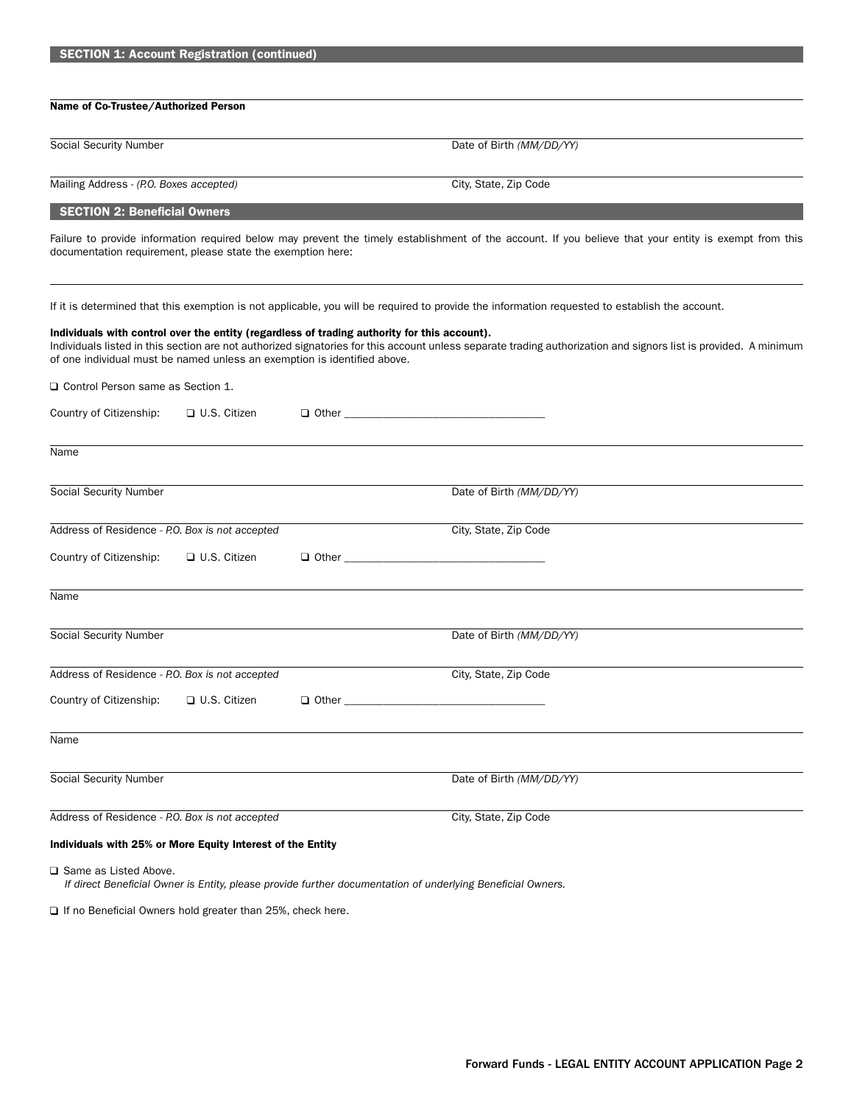| <b>SECTION 1: Account Registration (continued)</b>                       |                     |                                                                                              |                                                                                                                                                                  |
|--------------------------------------------------------------------------|---------------------|----------------------------------------------------------------------------------------------|------------------------------------------------------------------------------------------------------------------------------------------------------------------|
|                                                                          |                     |                                                                                              |                                                                                                                                                                  |
| Name of Co-Trustee/Authorized Person                                     |                     |                                                                                              |                                                                                                                                                                  |
| <b>Social Security Number</b>                                            |                     |                                                                                              | Date of Birth (MM/DD/YY)                                                                                                                                         |
| Mailing Address - (P.O. Boxes accepted)                                  |                     |                                                                                              | City, State, Zip Code                                                                                                                                            |
| <b>SECTION 2: Beneficial Owners</b>                                      |                     |                                                                                              |                                                                                                                                                                  |
| documentation requirement, please state the exemption here:              |                     |                                                                                              | Failure to provide information required below may prevent the timely establishment of the account. If you believe that your entity is exempt from this           |
|                                                                          |                     | Individuals with control over the entity (regardless of trading authority for this account). | If it is determined that this exemption is not applicable, you will be required to provide the information requested to establish the account.                   |
| of one individual must be named unless an exemption is identified above. |                     |                                                                                              | Individuals listed in this section are not authorized signatories for this account unless separate trading authorization and signors list is provided. A minimum |
| $\Box$ Control Person same as Section 1.                                 |                     |                                                                                              |                                                                                                                                                                  |
| Country of Citizenship:                                                  | $\Box$ U.S. Citizen |                                                                                              |                                                                                                                                                                  |
| Name                                                                     |                     |                                                                                              |                                                                                                                                                                  |
| <b>Social Security Number</b>                                            |                     |                                                                                              | Date of Birth (MM/DD/YY)                                                                                                                                         |
| Address of Residence - P.O. Box is not accepted                          |                     |                                                                                              | City, State, Zip Code                                                                                                                                            |
| Country of Citizenship:                                                  | $\Box$ U.S. Citizen | $\Box$ Other $\Box$                                                                          |                                                                                                                                                                  |
| Name                                                                     |                     |                                                                                              |                                                                                                                                                                  |
| <b>Social Security Number</b>                                            |                     |                                                                                              | Date of Birth (MM/DD/YY)                                                                                                                                         |
| Address of Residence - P.O. Box is not accepted                          |                     |                                                                                              | City, State, Zip Code                                                                                                                                            |
| Country of Citizenship:                                                  | $\Box$ U.S. Citizen |                                                                                              |                                                                                                                                                                  |
| Name                                                                     |                     |                                                                                              |                                                                                                                                                                  |
| Social Security Number                                                   |                     |                                                                                              | Date of Birth (MM/DD/YY)                                                                                                                                         |
| Address of Residence - P.O. Box is not accepted                          |                     |                                                                                              | City, State, Zip Code                                                                                                                                            |
| Individuals with 25% or More Equity Interest of the Entity               |                     |                                                                                              |                                                                                                                                                                  |
| $\Box$ Same as Listed Above.                                             |                     |                                                                                              | If direct Beneficial Owner is Entity, please provide further documentation of underlying Beneficial Owners.                                                      |

 $\square$  If no Beneficial Owners hold greater than 25%, check here.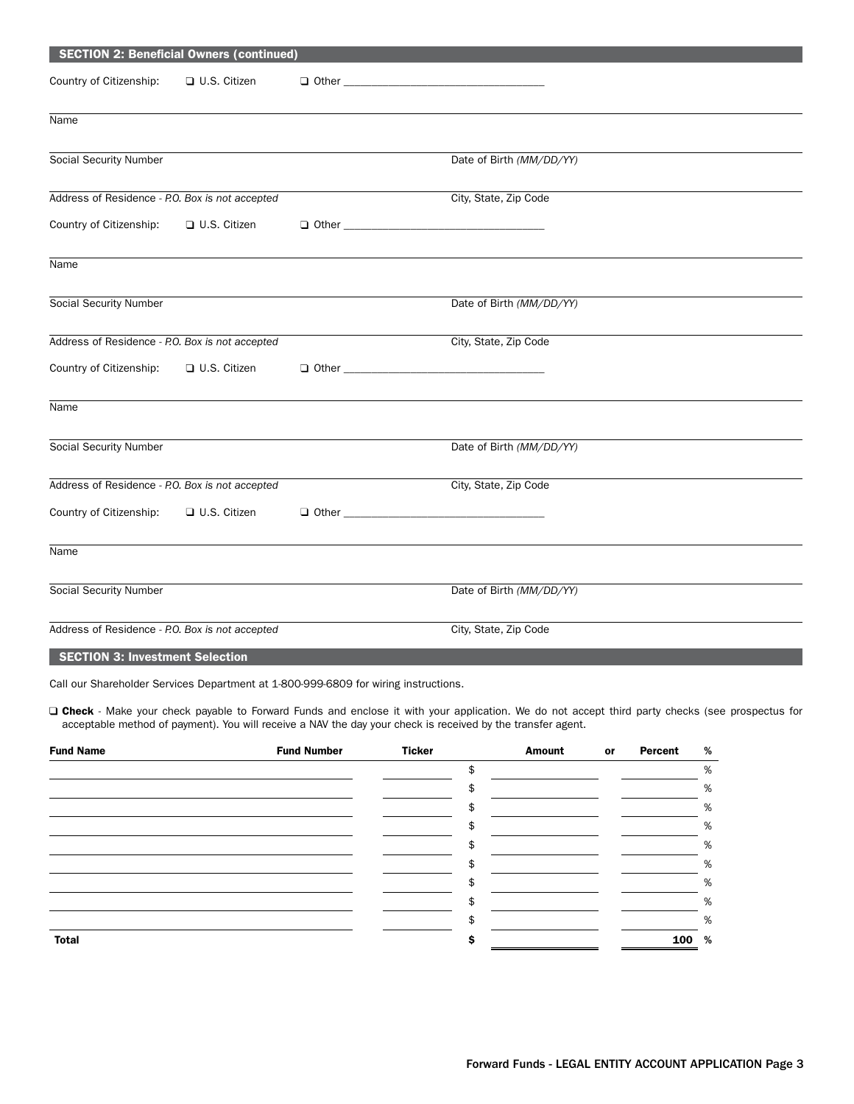| <b>SECTION 2: Beneficial Owners (continued)</b> |                     |                       |                          |  |  |  |
|-------------------------------------------------|---------------------|-----------------------|--------------------------|--|--|--|
| Country of Citizenship:                         | $\Box$ U.S. Citizen |                       | $\Box$ Other $\Box$      |  |  |  |
| Name                                            |                     |                       |                          |  |  |  |
| Social Security Number                          |                     |                       | Date of Birth (MM/DD/YY) |  |  |  |
| Address of Residence - P.O. Box is not accepted |                     |                       | City, State, Zip Code    |  |  |  |
| Country of Citizenship:                         | U.S. Citizen        |                       |                          |  |  |  |
| Name                                            |                     |                       |                          |  |  |  |
| Social Security Number                          |                     |                       | Date of Birth (MM/DD/YY) |  |  |  |
| Address of Residence - P.O. Box is not accepted |                     |                       | City, State, Zip Code    |  |  |  |
| Country of Citizenship:                         | □ U.S. Citizen      |                       |                          |  |  |  |
| Name                                            |                     |                       |                          |  |  |  |
| Social Security Number                          |                     |                       | Date of Birth (MM/DD/YY) |  |  |  |
| Address of Residence - P.O. Box is not accepted |                     |                       | City, State, Zip Code    |  |  |  |
| Country of Citizenship:                         | □ U.S. Citizen      |                       | $\Box$ Other $\Box$      |  |  |  |
| Name                                            |                     |                       |                          |  |  |  |
| Social Security Number                          |                     |                       | Date of Birth (MM/DD/YY) |  |  |  |
| Address of Residence - P.O. Box is not accepted |                     | City, State, Zip Code |                          |  |  |  |
| <b>SECTION 3: Investment Selection</b>          |                     |                       |                          |  |  |  |

Call our Shareholder Services Department at 1-800-999-6809 for wiring instructions.

□ Check - Make your check payable to Forward Funds and enclose it with your application. We do not accept third party checks (see prospectus for acceptable method of payment). You will receive a NAV the day your check is received by the transfer agent.

| <b>Fund Name</b> | <b>Fund Number</b> | <b>Ticker</b> | <b>Amount</b> | or | Percent | % |
|------------------|--------------------|---------------|---------------|----|---------|---|
|                  |                    | ፍ             |               |    |         | % |
|                  |                    |               |               |    |         | % |
|                  |                    |               |               |    |         | % |
|                  |                    |               |               |    |         | % |
|                  |                    |               |               |    |         | % |
|                  |                    |               |               |    |         | % |
|                  |                    |               |               |    |         | % |
|                  |                    | \$            |               |    |         | % |
|                  |                    |               |               |    |         | % |
| <b>Total</b>     |                    |               |               |    | 100     | % |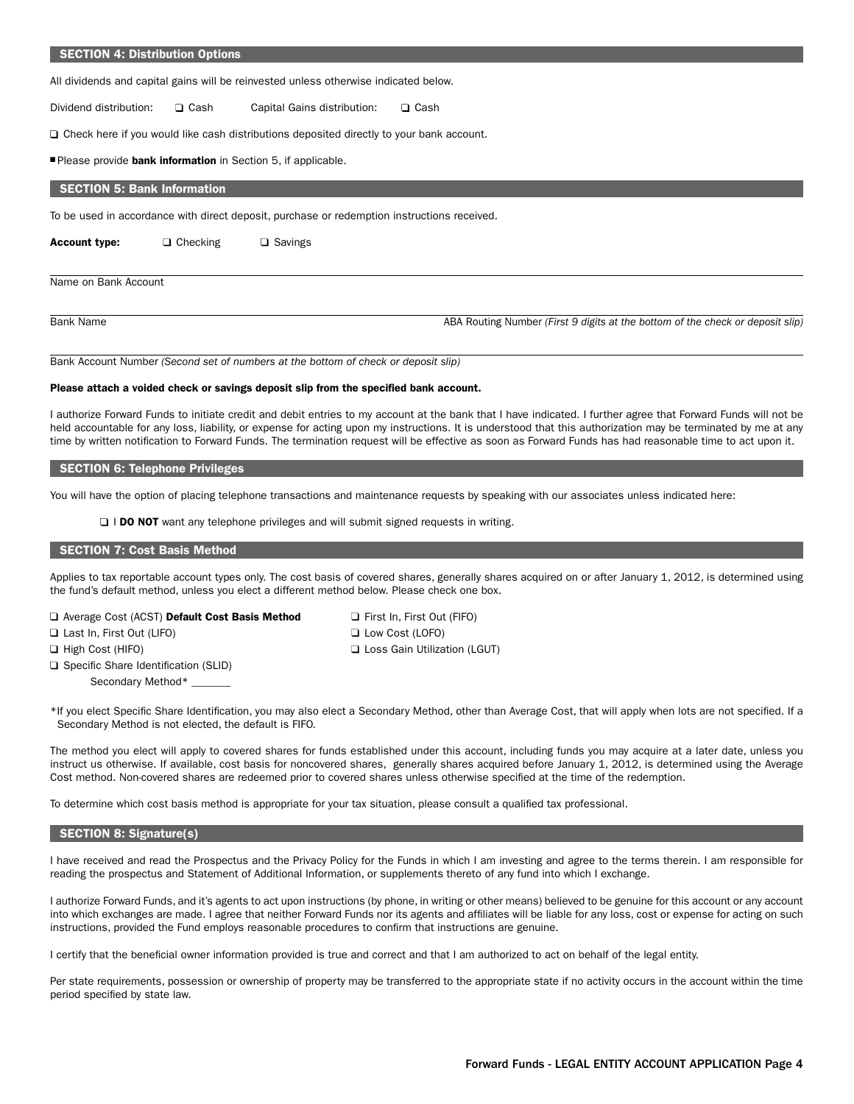#### SECTION 4: Distribution Options

All dividends and capital gains will be reinvested unless otherwise indicated below.

Dividend distribution:  $\square$  Cash Capital Gains distribution:  $\square$  Cash

 $\square$  Check here if you would like cash distributions deposited directly to your bank account.

Please provide bank information in Section 5, if applicable.

# SECTION 5: Bank Information

To be used in accordance with direct deposit, purchase or redemption instructions received.

Account type:  $\Box$  Checking  $\Box$  Savings

Name on Bank Account

Bank Name **ABA Routing Number** *(First 9 digits at the bottom of the check or deposit slip)* 

Bank Account Number *(Second set of numbers at the bottom of check or deposit slip)*

#### Please attach a voided check or savings deposit slip from the specified bank account.

I authorize Forward Funds to initiate credit and debit entries to my account at the bank that I have indicated. I further agree that Forward Funds will not be held accountable for any loss, liability, or expense for acting upon my instructions. It is understood that this authorization may be terminated by me at any time by written notification to Forward Funds. The termination request will be effective as soon as Forward Funds has had reasonable time to act upon it.

#### SECTION 6: Telephone Privileges

You will have the option of placing telephone transactions and maintenance requests by speaking with our associates unless indicated here:

**I DO NOT** want any telephone privileges and will submit signed requests in writing.

# SECTION 7: Cost Basis Method

Applies to tax reportable account types only. The cost basis of covered shares, generally shares acquired on or after January 1, 2012, is determined using the fund's default method, unless you elect a different method below. Please check one box.

| O AVEIDED COST (ACST) DETAIL COST DASIS INTELLIOU |  |
|---------------------------------------------------|--|
| $\Box$ Last In, First Out (LIFO)                  |  |
| $\Box$ High Cost (HIFO)                           |  |
| $\Box$ Specific Share Identification (SLID)       |  |
| Secondary Method*                                 |  |
|                                                   |  |

rage Cost (ACST) Default Cost Basis Method  $\Box$  First In, First Out (FIFO) **Low Cost (LOFO) Light Cost Gain Utilization (LGUT)** 

\*If you elect Specific Share Identification, you may also elect a Secondary Method, other than Average Cost, that will apply when lots are not specified. If a Secondary Method is not elected, the default is FIFO.

The method you elect will apply to covered shares for funds established under this account, including funds you may acquire at a later date, unless you instruct us otherwise. If available, cost basis for noncovered shares, generally shares acquired before January 1, 2012, is determined using the Average Cost method. Non-covered shares are redeemed prior to covered shares unless otherwise specified at the time of the redemption.

To determine which cost basis method is appropriate for your tax situation, please consult a qualified tax professional.

### $S_{\rm ISC}$  SECTION 8: Signature(s)  $S_{\rm ISC}$ SECTION 8: Signature(s)

I have received and read the Prospectus and the Privacy Policy for the Funds in which I am investing and agree to the terms therein. I am responsible for reading the prospectus and Statement of Additional Information, or supplements thereto of any fund into which I exchange.

I authorize Forward Funds, and it's agents to act upon instructions (by phone, in writing or other means) believed to be genuine for this account or any account into which exchanges are made. I agree that neither Forward Funds nor its agents and affiliates will be liable for any loss, cost or expense for acting on such instructions, provided the Fund employs reasonable procedures to confirm that instructions are genuine.

I certify that the beneficial owner information provided is true and correct and that I am authorized to act on behalf of the legal entity.

Per state requirements, possession or ownership of property may be transferred to the appropriate state if no activity occurs in the account within the time period specified by state law.